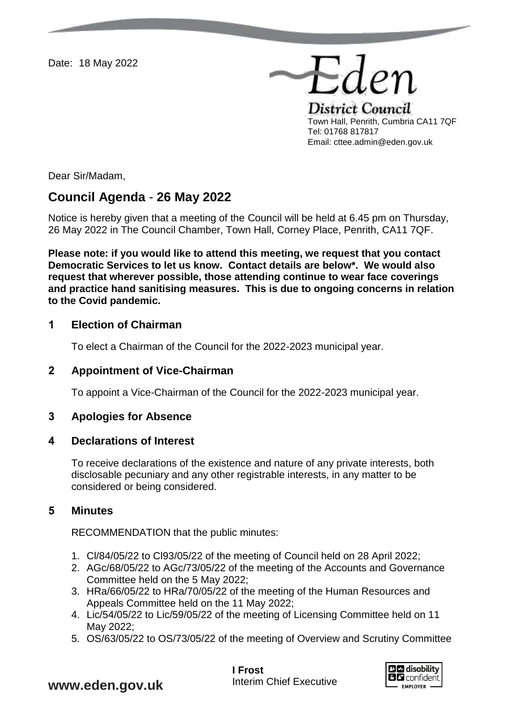Date: 18 May 2022

District Council Town Hall, Penrith, Cumbria CA11 7QF Tel: 01768 817817 Email: cttee.admin@eden.gov.uk

Eder

Dear Sir/Madam,

# **Council Agenda** - **26 May 2022**

Notice is hereby given that a meeting of the Council will be held at 6.45 pm on Thursday, 26 May 2022 in The Council Chamber, Town Hall, Corney Place, Penrith, CA11 7QF.

**Please note: if you would like to attend this meeting, we request that you contact Democratic Services to let us know. Contact details are below\*. We would also request that wherever possible, those attending continue to wear face coverings and practice hand sanitising measures. This is due to ongoing concerns in relation to the Covid pandemic.** 

### **1 Election of Chairman**

To elect a Chairman of the Council for the 2022-2023 municipal year.

### **2 Appointment of Vice-Chairman**

To appoint a Vice-Chairman of the Council for the 2022-2023 municipal year.

### **3 Apologies for Absence**

### **4 Declarations of Interest**

To receive declarations of the existence and nature of any private interests, both disclosable pecuniary and any other registrable interests, in any matter to be considered or being considered.

### **5 Minutes**

RECOMMENDATION that the public minutes:

- 1. Cl/84/05/22 to Cl93/05/22 of the meeting of Council held on 28 April 2022;
- 2. AGc/68/05/22 to AGc/73/05/22 of the meeting of the Accounts and Governance Committee held on the 5 May 2022;
- 3. HRa/66/05/22 to HRa/70/05/22 of the meeting of the Human Resources and Appeals Committee held on the 11 May 2022;
- 4. Lic/54/05/22 to Lic/59/05/22 of the meeting of Licensing Committee held on 11 May 2022;
- 5. OS/63/05/22 to OS/73/05/22 of the meeting of Overview and Scrutiny Committee

**I Frost** Interim Chief Executive



**www.eden.gov.uk**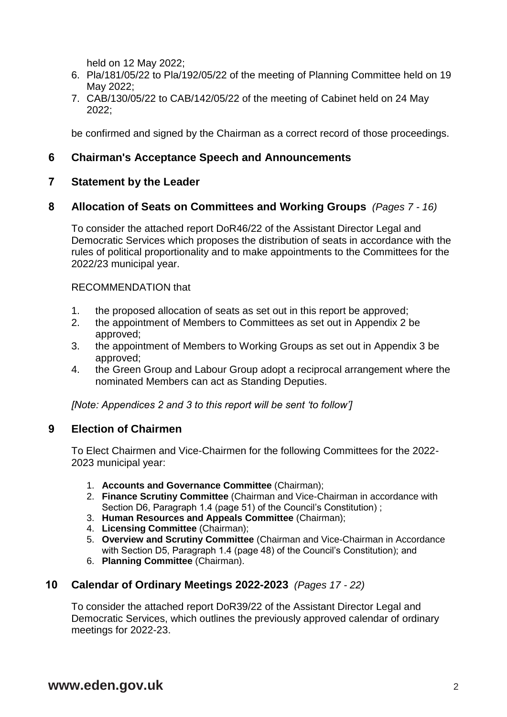held on 12 May 2022;

- 6. Pla/181/05/22 to Pla/192/05/22 of the meeting of Planning Committee held on 19 May 2022;
- 7. CAB/130/05/22 to CAB/142/05/22 of the meeting of Cabinet held on 24 May 2022;

be confirmed and signed by the Chairman as a correct record of those proceedings.

### **6 Chairman's Acceptance Speech and Announcements**

### **7 Statement by the Leader**

### **8 Allocation of Seats on Committees and Working Groups** *(Pages 7 - 16)*

To consider the attached report DoR46/22 of the Assistant Director Legal and Democratic Services which proposes the distribution of seats in accordance with the rules of political proportionality and to make appointments to the Committees for the 2022/23 municipal year.

#### RECOMMENDATION that

- 1. the proposed allocation of seats as set out in this report be approved;
- 2. the appointment of Members to Committees as set out in Appendix 2 be approved;
- 3. the appointment of Members to Working Groups as set out in Appendix 3 be approved;
- 4. the Green Group and Labour Group adopt a reciprocal arrangement where the nominated Members can act as Standing Deputies.

*[Note: Appendices 2 and 3 to this report will be sent 'to follow']*

### **9 Election of Chairmen**

To Elect Chairmen and Vice-Chairmen for the following Committees for the 2022- 2023 municipal year:

- 1. **Accounts and Governance Committee** (Chairman);
- 2. **Finance Scrutiny Committee** (Chairman and Vice-Chairman in accordance with Section D6, Paragraph 1.4 (page 51) of the Council's Constitution) ;
- 3. **Human Resources and Appeals Committee** (Chairman);
- 4. **Licensing Committee** (Chairman);
- 5. **Overview and Scrutiny Committee** (Chairman and Vice-Chairman in Accordance with Section D5, Paragraph 1.4 (page 48) of the Council's Constitution); and
- 6. **Planning Committee** (Chairman).

### **10 Calendar of Ordinary Meetings 2022-2023** *(Pages 17 - 22)*

To consider the attached report DoR39/22 of the Assistant Director Legal and Democratic Services, which outlines the previously approved calendar of ordinary meetings for 2022-23.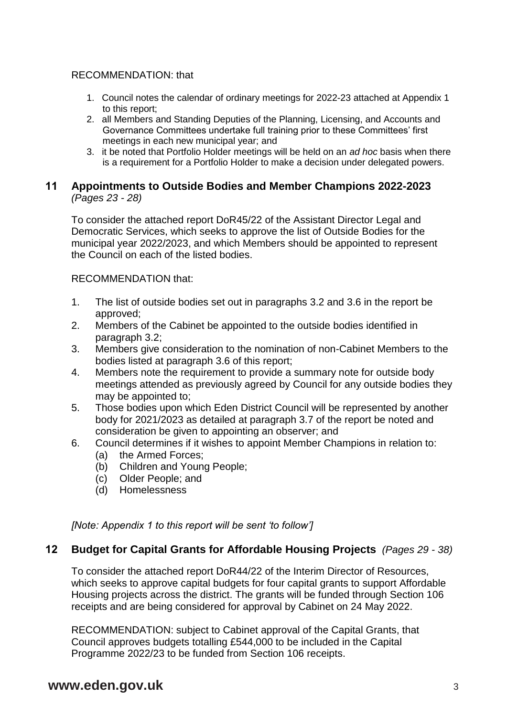### RECOMMENDATION: that

- 1. Council notes the calendar of ordinary meetings for 2022-23 attached at Appendix 1 to this report;
- 2. all Members and Standing Deputies of the Planning, Licensing, and Accounts and Governance Committees undertake full training prior to these Committees' first meetings in each new municipal year; and
- 3. it be noted that Portfolio Holder meetings will be held on an *ad hoc* basis when there is a requirement for a Portfolio Holder to make a decision under delegated powers.

### **11 Appointments to Outside Bodies and Member Champions 2022-2023** *(Pages 23 - 28)*

To consider the attached report DoR45/22 of the Assistant Director Legal and Democratic Services, which seeks to approve the list of Outside Bodies for the municipal year 2022/2023, and which Members should be appointed to represent the Council on each of the listed bodies.

RECOMMENDATION that:

- 1. The list of outside bodies set out in paragraphs 3.2 and 3.6 in the report be approved;
- 2. Members of the Cabinet be appointed to the outside bodies identified in paragraph 3.2;
- 3. Members give consideration to the nomination of non-Cabinet Members to the bodies listed at paragraph 3.6 of this report;
- 4. Members note the requirement to provide a summary note for outside body meetings attended as previously agreed by Council for any outside bodies they may be appointed to;
- 5. Those bodies upon which Eden District Council will be represented by another body for 2021/2023 as detailed at paragraph 3.7 of the report be noted and consideration be given to appointing an observer; and
- 6. Council determines if it wishes to appoint Member Champions in relation to:
	- (a) the Armed Forces;
	- (b) Children and Young People;
	- (c) Older People; and
	- (d) Homelessness

*[Note: Appendix 1 to this report will be sent 'to follow']*

### **12 Budget for Capital Grants for Affordable Housing Projects** *(Pages 29 - 38)*

To consider the attached report DoR44/22 of the Interim Director of Resources, which seeks to approve capital budgets for four capital grants to support Affordable Housing projects across the district. The grants will be funded through Section 106 receipts and are being considered for approval by Cabinet on 24 May 2022.

RECOMMENDATION: subject to Cabinet approval of the Capital Grants, that Council approves budgets totalling £544,000 to be included in the Capital Programme 2022/23 to be funded from Section 106 receipts.

# **www.eden.gov.uk** 3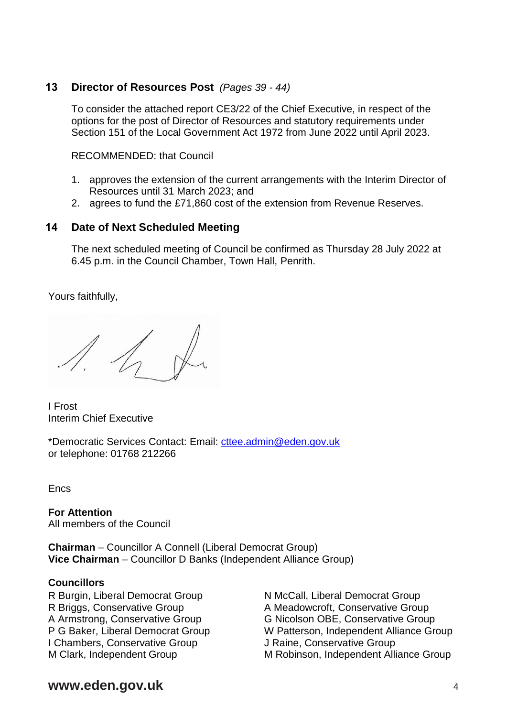### **13 Director of Resources Post** *(Pages 39 - 44)*

To consider the attached report CE3/22 of the Chief Executive, in respect of the options for the post of Director of Resources and statutory requirements under Section 151 of the Local Government Act 1972 from June 2022 until April 2023.

RECOMMENDED: that Council

- 1. approves the extension of the current arrangements with the Interim Director of Resources until 31 March 2023; and
- 2. agrees to fund the £71,860 cost of the extension from Revenue Reserves.

### **14 Date of Next Scheduled Meeting**

The next scheduled meeting of Council be confirmed as Thursday 28 July 2022 at 6.45 p.m. in the Council Chamber, Town Hall, Penrith.

Yours faithfully,

I Frost Interim Chief Executive

\*Democratic Services Contact: Email: [cttee.admin@eden.gov.uk](mailto:cttee.admin@eden.gov.uk) or telephone: 01768 212266

Encs

**For Attention** All members of the Council

**Chairman** – Councillor A Connell (Liberal Democrat Group) **Vice Chairman** – Councillor D Banks (Independent Alliance Group)

### **Councillors**

R Burgin, Liberal Democrat Group R Briggs, Conservative Group A Armstrong, Conservative Group P G Baker, Liberal Democrat Group I Chambers, Conservative Group M Clark, Independent Group

N McCall, Liberal Democrat Group A Meadowcroft, Conservative Group G Nicolson OBE, Conservative Group W Patterson, Independent Alliance Group J Raine, Conservative Group M Robinson, Independent Alliance Group

## **www.eden.gov.uk** <sup>4</sup>